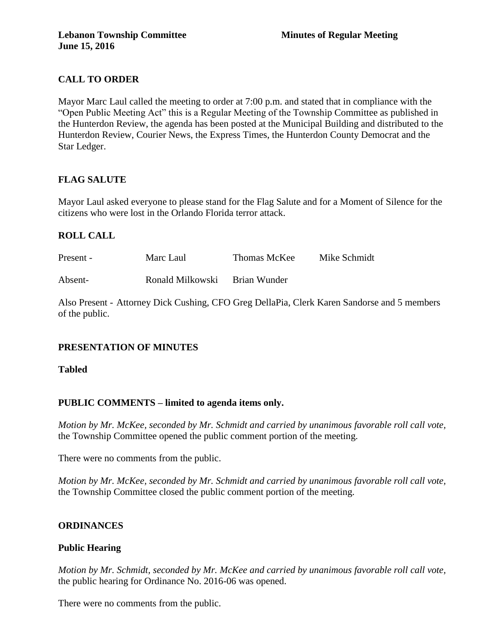# **CALL TO ORDER**

Mayor Marc Laul called the meeting to order at 7:00 p.m. and stated that in compliance with the "Open Public Meeting Act" this is a Regular Meeting of the Township Committee as published in the Hunterdon Review, the agenda has been posted at the Municipal Building and distributed to the Hunterdon Review, Courier News, the Express Times, the Hunterdon County Democrat and the Star Ledger.

# **FLAG SALUTE**

Mayor Laul asked everyone to please stand for the Flag Salute and for a Moment of Silence for the citizens who were lost in the Orlando Florida terror attack.

# **ROLL CALL**

| Present - | Marc Laul        | Thomas McKee | Mike Schmidt |
|-----------|------------------|--------------|--------------|
| Absent-   | Ronald Milkowski | Brian Wunder |              |

Also Present - Attorney Dick Cushing, CFO Greg DellaPia, Clerk Karen Sandorse and 5 members of the public.

# **PRESENTATION OF MINUTES**

**Tabled**

# **PUBLIC COMMENTS – limited to agenda items only.**

*Motion by Mr. McKee, seconded by Mr. Schmidt and carried by unanimous favorable roll call vote,* the Township Committee opened the public comment portion of the meeting.

There were no comments from the public.

*Motion by Mr. McKee, seconded by Mr. Schmidt and carried by unanimous favorable roll call vote,* the Township Committee closed the public comment portion of the meeting.

# **ORDINANCES**

# **Public Hearing**

*Motion by Mr. Schmidt, seconded by Mr. McKee and carried by unanimous favorable roll call vote,* the public hearing for Ordinance No. 2016-06 was opened.

There were no comments from the public.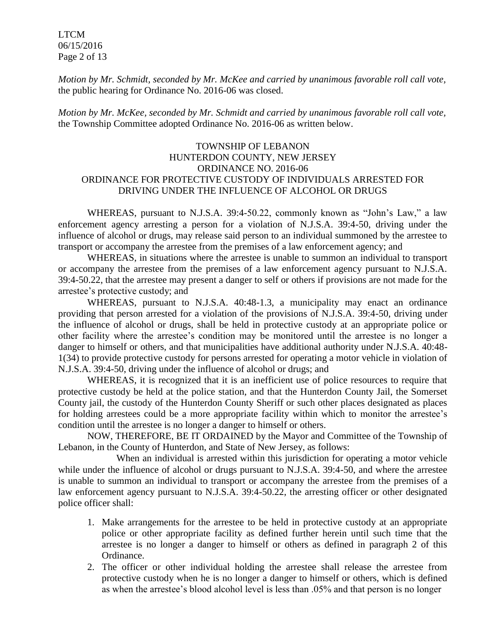LTCM 06/15/2016 Page 2 of 13

*Motion by Mr. Schmidt, seconded by Mr. McKee and carried by unanimous favorable roll call vote,* the public hearing for Ordinance No. 2016-06 was closed.

*Motion by Mr. McKee, seconded by Mr. Schmidt and carried by unanimous favorable roll call vote,*  the Township Committee adopted Ordinance No. 2016-06 as written below.

### TOWNSHIP OF LEBANON HUNTERDON COUNTY, NEW JERSEY ORDINANCE NO. 2016-06 ORDINANCE FOR PROTECTIVE CUSTODY OF INDIVIDUALS ARRESTED FOR DRIVING UNDER THE INFLUENCE OF ALCOHOL OR DRUGS

WHEREAS, pursuant to N.J.S.A. 39:4-50.22, commonly known as "John's Law," a law enforcement agency arresting a person for a violation of N.J.S.A. 39:4-50, driving under the influence of alcohol or drugs, may release said person to an individual summoned by the arrestee to transport or accompany the arrestee from the premises of a law enforcement agency; and

WHEREAS, in situations where the arrestee is unable to summon an individual to transport or accompany the arrestee from the premises of a law enforcement agency pursuant to N.J.S.A. 39:4-50.22, that the arrestee may present a danger to self or others if provisions are not made for the arrestee's protective custody; and

WHEREAS, pursuant to N.J.S.A. 40:48-1.3, a municipality may enact an ordinance providing that person arrested for a violation of the provisions of N.J.S.A. 39:4-50, driving under the influence of alcohol or drugs, shall be held in protective custody at an appropriate police or other facility where the arrestee's condition may be monitored until the arrestee is no longer a danger to himself or others, and that municipalities have additional authority under N.J.S.A. 40:48- 1(34) to provide protective custody for persons arrested for operating a motor vehicle in violation of N.J.S.A. 39:4-50, driving under the influence of alcohol or drugs; and

WHEREAS, it is recognized that it is an inefficient use of police resources to require that protective custody be held at the police station, and that the Hunterdon County Jail, the Somerset County jail, the custody of the Hunterdon County Sheriff or such other places designated as places for holding arrestees could be a more appropriate facility within which to monitor the arrestee's condition until the arrestee is no longer a danger to himself or others.

NOW, THEREFORE, BE IT ORDAINED by the Mayor and Committee of the Township of Lebanon, in the County of Hunterdon, and State of New Jersey, as follows:

When an individual is arrested within this jurisdiction for operating a motor vehicle while under the influence of alcohol or drugs pursuant to N.J.S.A. 39:4-50, and where the arrestee is unable to summon an individual to transport or accompany the arrestee from the premises of a law enforcement agency pursuant to N.J.S.A. 39:4-50.22, the arresting officer or other designated police officer shall:

- 1. Make arrangements for the arrestee to be held in protective custody at an appropriate police or other appropriate facility as defined further herein until such time that the arrestee is no longer a danger to himself or others as defined in paragraph 2 of this Ordinance.
- 2. The officer or other individual holding the arrestee shall release the arrestee from protective custody when he is no longer a danger to himself or others, which is defined as when the arrestee's blood alcohol level is less than .05% and that person is no longer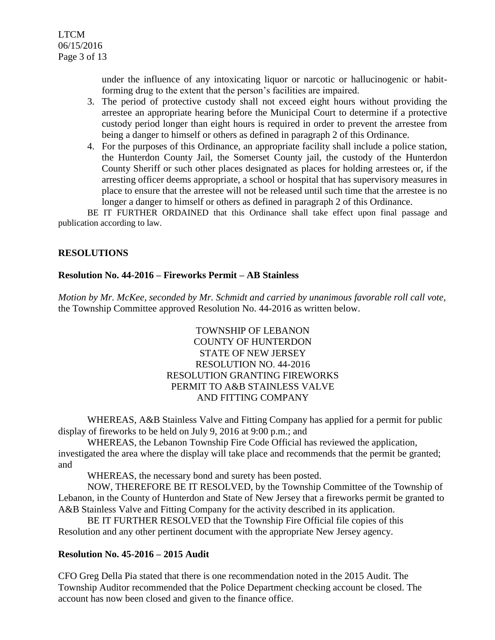under the influence of any intoxicating liquor or narcotic or hallucinogenic or habitforming drug to the extent that the person's facilities are impaired.

- 3. The period of protective custody shall not exceed eight hours without providing the arrestee an appropriate hearing before the Municipal Court to determine if a protective custody period longer than eight hours is required in order to prevent the arrestee from being a danger to himself or others as defined in paragraph 2 of this Ordinance.
- 4. For the purposes of this Ordinance, an appropriate facility shall include a police station, the Hunterdon County Jail, the Somerset County jail, the custody of the Hunterdon County Sheriff or such other places designated as places for holding arrestees or, if the arresting officer deems appropriate, a school or hospital that has supervisory measures in place to ensure that the arrestee will not be released until such time that the arrestee is no longer a danger to himself or others as defined in paragraph 2 of this Ordinance.

BE IT FURTHER ORDAINED that this Ordinance shall take effect upon final passage and publication according to law.

# **RESOLUTIONS**

### **Resolution No. 44-2016 – Fireworks Permit – AB Stainless**

*Motion by Mr. McKee, seconded by Mr. Schmidt and carried by unanimous favorable roll call vote,* the Township Committee approved Resolution No. 44-2016 as written below.

### TOWNSHIP OF LEBANON COUNTY OF HUNTERDON STATE OF NEW JERSEY RESOLUTION NO. 44-2016 RESOLUTION GRANTING FIREWORKS PERMIT TO A&B STAINLESS VALVE AND FITTING COMPANY

WHEREAS, A&B Stainless Valve and Fitting Company has applied for a permit for public display of fireworks to be held on July 9, 2016 at 9:00 p.m.; and

WHEREAS, the Lebanon Township Fire Code Official has reviewed the application, investigated the area where the display will take place and recommends that the permit be granted; and

WHEREAS, the necessary bond and surety has been posted.

NOW, THEREFORE BE IT RESOLVED, by the Township Committee of the Township of Lebanon, in the County of Hunterdon and State of New Jersey that a fireworks permit be granted to A&B Stainless Valve and Fitting Company for the activity described in its application.

BE IT FURTHER RESOLVED that the Township Fire Official file copies of this Resolution and any other pertinent document with the appropriate New Jersey agency.

#### **Resolution No. 45-2016 – 2015 Audit**

CFO Greg Della Pia stated that there is one recommendation noted in the 2015 Audit. The Township Auditor recommended that the Police Department checking account be closed. The account has now been closed and given to the finance office.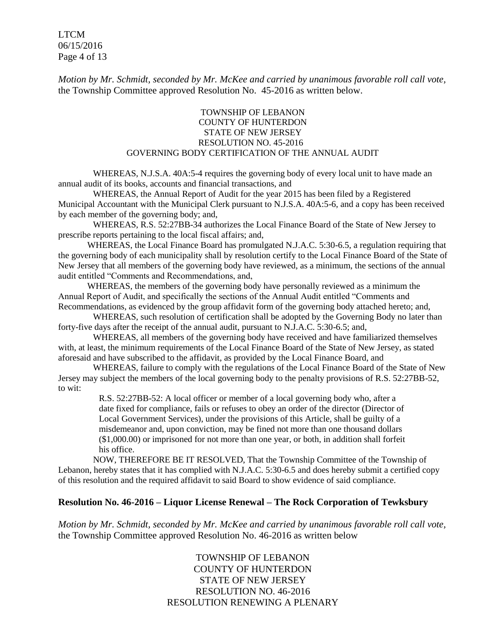LTCM 06/15/2016 Page 4 of 13

*Motion by Mr. Schmidt, seconded by Mr. McKee and carried by unanimous favorable roll call vote,* the Township Committee approved Resolution No. 45-2016 as written below.

#### TOWNSHIP OF LEBANON COUNTY OF HUNTERDON STATE OF NEW JERSEY RESOLUTION NO. 45-2016 GOVERNING BODY CERTIFICATION OF THE ANNUAL AUDIT

WHEREAS, N.J.S.A. 40A:5-4 requires the governing body of every local unit to have made an annual audit of its books, accounts and financial transactions, and

WHEREAS, the Annual Report of Audit for the year 2015 has been filed by a Registered Municipal Accountant with the Municipal Clerk pursuant to N.J.S.A. 40A:5-6, and a copy has been received by each member of the governing body; and,

WHEREAS, R.S. 52:27BB-34 authorizes the Local Finance Board of the State of New Jersey to prescribe reports pertaining to the local fiscal affairs; and,

WHEREAS, the Local Finance Board has promulgated N.J.A.C. 5:30-6.5, a regulation requiring that the governing body of each municipality shall by resolution certify to the Local Finance Board of the State of New Jersey that all members of the governing body have reviewed, as a minimum, the sections of the annual audit entitled "Comments and Recommendations, and,

WHEREAS, the members of the governing body have personally reviewed as a minimum the Annual Report of Audit, and specifically the sections of the Annual Audit entitled "Comments and Recommendations, as evidenced by the group affidavit form of the governing body attached hereto; and,

WHEREAS, such resolution of certification shall be adopted by the Governing Body no later than forty-five days after the receipt of the annual audit, pursuant to N.J.A.C. 5:30-6.5; and,

WHEREAS, all members of the governing body have received and have familiarized themselves with, at least, the minimum requirements of the Local Finance Board of the State of New Jersey, as stated aforesaid and have subscribed to the affidavit, as provided by the Local Finance Board, and

WHEREAS, failure to comply with the regulations of the Local Finance Board of the State of New Jersey may subject the members of the local governing body to the penalty provisions of R.S. 52:27BB-52, to wit:

> R.S. 52:27BB-52: A local officer or member of a local governing body who, after a date fixed for compliance, fails or refuses to obey an order of the director (Director of Local Government Services), under the provisions of this Article, shall be guilty of a misdemeanor and, upon conviction, may be fined not more than one thousand dollars (\$1,000.00) or imprisoned for not more than one year, or both, in addition shall forfeit his office.

NOW, THEREFORE BE IT RESOLVED, That the Township Committee of the Township of Lebanon, hereby states that it has complied with N.J.A.C. 5:30-6.5 and does hereby submit a certified copy of this resolution and the required affidavit to said Board to show evidence of said compliance.

#### **Resolution No. 46-2016 – Liquor License Renewal – The Rock Corporation of Tewksbury**

*Motion by Mr. Schmidt, seconded by Mr. McKee and carried by unanimous favorable roll call vote,* the Township Committee approved Resolution No. 46-2016 as written below

> TOWNSHIP OF LEBANON COUNTY OF HUNTERDON STATE OF NEW JERSEY RESOLUTION NO. 46-2016 RESOLUTION RENEWING A PLENARY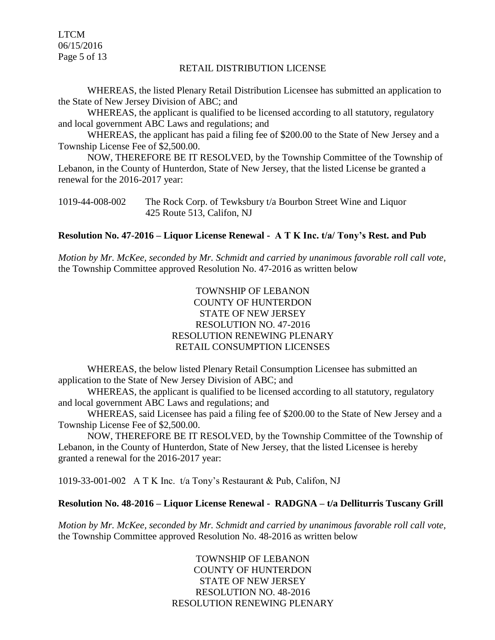LTCM 06/15/2016 Page 5 of 13

#### RETAIL DISTRIBUTION LICENSE

WHEREAS, the listed Plenary Retail Distribution Licensee has submitted an application to the State of New Jersey Division of ABC; and

WHEREAS, the applicant is qualified to be licensed according to all statutory, regulatory and local government ABC Laws and regulations; and

WHEREAS, the applicant has paid a filing fee of \$200.00 to the State of New Jersey and a Township License Fee of \$2,500.00.

NOW, THEREFORE BE IT RESOLVED, by the Township Committee of the Township of Lebanon, in the County of Hunterdon, State of New Jersey, that the listed License be granted a renewal for the 2016-2017 year:

| 1019-44-008-002 | The Rock Corp. of Tewksbury t/a Bourbon Street Wine and Liquor |
|-----------------|----------------------------------------------------------------|
|                 | 425 Route 513, Califon, NJ                                     |

#### **Resolution No. 47-2016 – Liquor License Renewal - A T K Inc. t/a/ Tony's Rest. and Pub**

*Motion by Mr. McKee, seconded by Mr. Schmidt and carried by unanimous favorable roll call vote,* the Township Committee approved Resolution No. 47-2016 as written below

> TOWNSHIP OF LEBANON COUNTY OF HUNTERDON STATE OF NEW JERSEY RESOLUTION NO. 47-2016 RESOLUTION RENEWING PLENARY RETAIL CONSUMPTION LICENSES

WHEREAS, the below listed Plenary Retail Consumption Licensee has submitted an application to the State of New Jersey Division of ABC; and

WHEREAS, the applicant is qualified to be licensed according to all statutory, regulatory and local government ABC Laws and regulations; and

WHEREAS, said Licensee has paid a filing fee of \$200.00 to the State of New Jersey and a Township License Fee of \$2,500.00.

NOW, THEREFORE BE IT RESOLVED, by the Township Committee of the Township of Lebanon, in the County of Hunterdon, State of New Jersey, that the listed Licensee is hereby granted a renewal for the 2016-2017 year:

1019-33-001-002 A T K Inc. t/a Tony's Restaurant & Pub, Califon, NJ

#### **Resolution No. 48-2016 – Liquor License Renewal - RADGNA – t/a Delliturris Tuscany Grill**

*Motion by Mr. McKee, seconded by Mr. Schmidt and carried by unanimous favorable roll call vote,* the Township Committee approved Resolution No. 48-2016 as written below

> TOWNSHIP OF LEBANON COUNTY OF HUNTERDON STATE OF NEW JERSEY RESOLUTION NO. 48-2016 RESOLUTION RENEWING PLENARY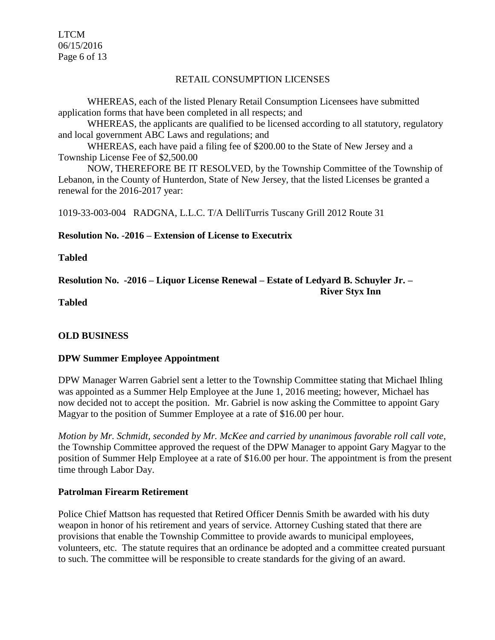LTCM 06/15/2016 Page 6 of 13

#### RETAIL CONSUMPTION LICENSES

WHEREAS, each of the listed Plenary Retail Consumption Licensees have submitted application forms that have been completed in all respects; and

WHEREAS, the applicants are qualified to be licensed according to all statutory, regulatory and local government ABC Laws and regulations; and

WHEREAS, each have paid a filing fee of \$200.00 to the State of New Jersey and a Township License Fee of \$2,500.00

NOW, THEREFORE BE IT RESOLVED, by the Township Committee of the Township of Lebanon, in the County of Hunterdon, State of New Jersey, that the listed Licenses be granted a renewal for the 2016-2017 year:

1019-33-003-004 RADGNA, L.L.C. T/A DelliTurris Tuscany Grill 2012 Route 31

### **Resolution No. -2016 – Extension of License to Executrix**

**Tabled**

**Resolution No. -2016 – Liquor License Renewal – Estate of Ledyard B. Schuyler Jr. – River Styx Inn**

**Tabled**

# **OLD BUSINESS**

# **DPW Summer Employee Appointment**

DPW Manager Warren Gabriel sent a letter to the Township Committee stating that Michael Ihling was appointed as a Summer Help Employee at the June 1, 2016 meeting; however, Michael has now decided not to accept the position. Mr. Gabriel is now asking the Committee to appoint Gary Magyar to the position of Summer Employee at a rate of \$16.00 per hour.

*Motion by Mr. Schmidt, seconded by Mr. McKee and carried by unanimous favorable roll call vote*, the Township Committee approved the request of the DPW Manager to appoint Gary Magyar to the position of Summer Help Employee at a rate of \$16.00 per hour. The appointment is from the present time through Labor Day.

#### **Patrolman Firearm Retirement**

Police Chief Mattson has requested that Retired Officer Dennis Smith be awarded with his duty weapon in honor of his retirement and years of service. Attorney Cushing stated that there are provisions that enable the Township Committee to provide awards to municipal employees, volunteers, etc. The statute requires that an ordinance be adopted and a committee created pursuant to such. The committee will be responsible to create standards for the giving of an award.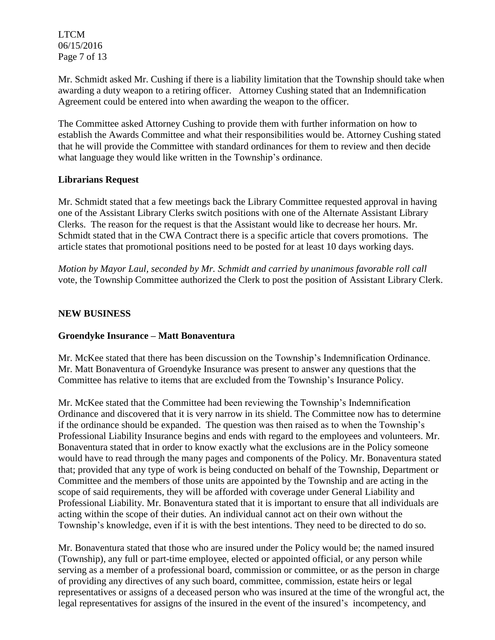LTCM 06/15/2016 Page 7 of 13

Mr. Schmidt asked Mr. Cushing if there is a liability limitation that the Township should take when awarding a duty weapon to a retiring officer. Attorney Cushing stated that an Indemnification Agreement could be entered into when awarding the weapon to the officer.

The Committee asked Attorney Cushing to provide them with further information on how to establish the Awards Committee and what their responsibilities would be. Attorney Cushing stated that he will provide the Committee with standard ordinances for them to review and then decide what language they would like written in the Township's ordinance.

### **Librarians Request**

Mr. Schmidt stated that a few meetings back the Library Committee requested approval in having one of the Assistant Library Clerks switch positions with one of the Alternate Assistant Library Clerks. The reason for the request is that the Assistant would like to decrease her hours. Mr. Schmidt stated that in the CWA Contract there is a specific article that covers promotions. The article states that promotional positions need to be posted for at least 10 days working days.

*Motion by Mayor Laul, seconded by Mr. Schmidt and carried by unanimous favorable roll call*  vote, the Township Committee authorized the Clerk to post the position of Assistant Library Clerk.

### **NEW BUSINESS**

# **Groendyke Insurance – Matt Bonaventura**

Mr. McKee stated that there has been discussion on the Township's Indemnification Ordinance. Mr. Matt Bonaventura of Groendyke Insurance was present to answer any questions that the Committee has relative to items that are excluded from the Township's Insurance Policy.

Mr. McKee stated that the Committee had been reviewing the Township's Indemnification Ordinance and discovered that it is very narrow in its shield. The Committee now has to determine if the ordinance should be expanded. The question was then raised as to when the Township's Professional Liability Insurance begins and ends with regard to the employees and volunteers. Mr. Bonaventura stated that in order to know exactly what the exclusions are in the Policy someone would have to read through the many pages and components of the Policy. Mr. Bonaventura stated that; provided that any type of work is being conducted on behalf of the Township, Department or Committee and the members of those units are appointed by the Township and are acting in the scope of said requirements, they will be afforded with coverage under General Liability and Professional Liability. Mr. Bonaventura stated that it is important to ensure that all individuals are acting within the scope of their duties. An individual cannot act on their own without the Township's knowledge, even if it is with the best intentions. They need to be directed to do so.

Mr. Bonaventura stated that those who are insured under the Policy would be; the named insured (Township), any full or part-time employee, elected or appointed official, or any person while serving as a member of a professional board, commission or committee, or as the person in charge of providing any directives of any such board, committee, commission, estate heirs or legal representatives or assigns of a deceased person who was insured at the time of the wrongful act, the legal representatives for assigns of the insured in the event of the insured's incompetency, and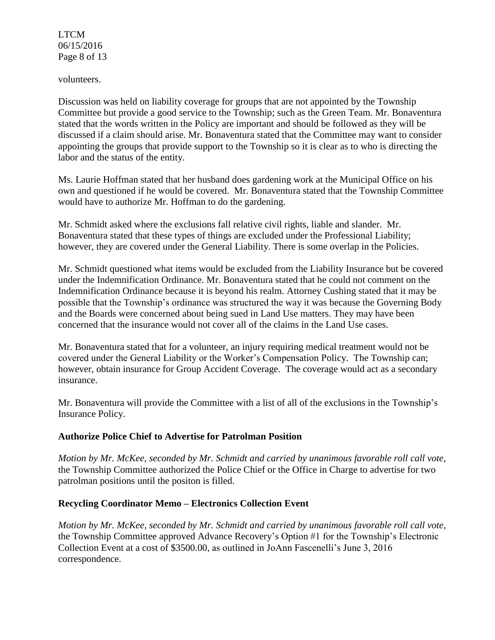LTCM 06/15/2016 Page 8 of 13

volunteers.

Discussion was held on liability coverage for groups that are not appointed by the Township Committee but provide a good service to the Township; such as the Green Team. Mr. Bonaventura stated that the words written in the Policy are important and should be followed as they will be discussed if a claim should arise. Mr. Bonaventura stated that the Committee may want to consider appointing the groups that provide support to the Township so it is clear as to who is directing the labor and the status of the entity.

Ms. Laurie Hoffman stated that her husband does gardening work at the Municipal Office on his own and questioned if he would be covered. Mr. Bonaventura stated that the Township Committee would have to authorize Mr. Hoffman to do the gardening.

Mr. Schmidt asked where the exclusions fall relative civil rights, liable and slander. Mr. Bonaventura stated that these types of things are excluded under the Professional Liability; however, they are covered under the General Liability. There is some overlap in the Policies.

Mr. Schmidt questioned what items would be excluded from the Liability Insurance but be covered under the Indemnification Ordinance. Mr. Bonaventura stated that he could not comment on the Indemnification Ordinance because it is beyond his realm. Attorney Cushing stated that it may be possible that the Township's ordinance was structured the way it was because the Governing Body and the Boards were concerned about being sued in Land Use matters. They may have been concerned that the insurance would not cover all of the claims in the Land Use cases.

Mr. Bonaventura stated that for a volunteer, an injury requiring medical treatment would not be covered under the General Liability or the Worker's Compensation Policy. The Township can; however, obtain insurance for Group Accident Coverage. The coverage would act as a secondary insurance.

Mr. Bonaventura will provide the Committee with a list of all of the exclusions in the Township's Insurance Policy.

# **Authorize Police Chief to Advertise for Patrolman Position**

*Motion by Mr. McKee, seconded by Mr. Schmidt and carried by unanimous favorable roll call vote,* the Township Committee authorized the Police Chief or the Office in Charge to advertise for two patrolman positions until the positon is filled.

# **Recycling Coordinator Memo – Electronics Collection Event**

*Motion by Mr. McKee, seconded by Mr. Schmidt and carried by unanimous favorable roll call vote,* the Township Committee approved Advance Recovery's Option #1 for the Township's Electronic Collection Event at a cost of \$3500.00, as outlined in JoAnn Fascenelli's June 3, 2016 correspondence.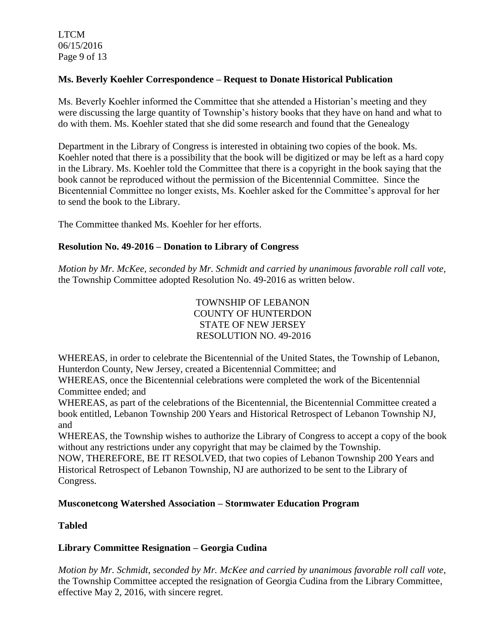LTCM 06/15/2016 Page 9 of 13

# **Ms. Beverly Koehler Correspondence – Request to Donate Historical Publication**

Ms. Beverly Koehler informed the Committee that she attended a Historian's meeting and they were discussing the large quantity of Township's history books that they have on hand and what to do with them. Ms. Koehler stated that she did some research and found that the Genealogy

Department in the Library of Congress is interested in obtaining two copies of the book. Ms. Koehler noted that there is a possibility that the book will be digitized or may be left as a hard copy in the Library. Ms. Koehler told the Committee that there is a copyright in the book saying that the book cannot be reproduced without the permission of the Bicentennial Committee. Since the Bicentennial Committee no longer exists, Ms. Koehler asked for the Committee's approval for her to send the book to the Library.

The Committee thanked Ms. Koehler for her efforts.

### **Resolution No. 49-2016 – Donation to Library of Congress**

*Motion by Mr. McKee, seconded by Mr. Schmidt and carried by unanimous favorable roll call vote,* the Township Committee adopted Resolution No. 49-2016 as written below.

> TOWNSHIP OF LEBANON COUNTY OF HUNTERDON STATE OF NEW JERSEY RESOLUTION NO. 49-2016

WHEREAS, in order to celebrate the Bicentennial of the United States, the Township of Lebanon, Hunterdon County, New Jersey, created a Bicentennial Committee; and

WHEREAS, once the Bicentennial celebrations were completed the work of the Bicentennial Committee ended; and

WHEREAS, as part of the celebrations of the Bicentennial, the Bicentennial Committee created a book entitled, Lebanon Township 200 Years and Historical Retrospect of Lebanon Township NJ, and

WHEREAS, the Township wishes to authorize the Library of Congress to accept a copy of the book without any restrictions under any copyright that may be claimed by the Township.

NOW, THEREFORE, BE IT RESOLVED, that two copies of Lebanon Township 200 Years and Historical Retrospect of Lebanon Township, NJ are authorized to be sent to the Library of Congress.

# **Musconetcong Watershed Association – Stormwater Education Program**

#### **Tabled**

# **Library Committee Resignation – Georgia Cudina**

*Motion by Mr. Schmidt, seconded by Mr. McKee and carried by unanimous favorable roll call vote,* the Township Committee accepted the resignation of Georgia Cudina from the Library Committee, effective May 2, 2016, with sincere regret.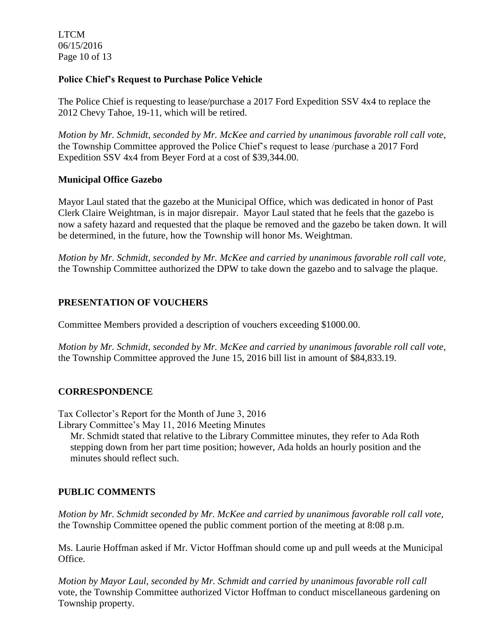LTCM 06/15/2016 Page 10 of 13

### **Police Chief's Request to Purchase Police Vehicle**

The Police Chief is requesting to lease/purchase a 2017 Ford Expedition SSV 4x4 to replace the 2012 Chevy Tahoe, 19-11, which will be retired.

*Motion by Mr. Schmidt, seconded by Mr. McKee and carried by unanimous favorable roll call vote,* the Township Committee approved the Police Chief's request to lease /purchase a 2017 Ford Expedition SSV 4x4 from Beyer Ford at a cost of \$39,344.00.

# **Municipal Office Gazebo**

Mayor Laul stated that the gazebo at the Municipal Office, which was dedicated in honor of Past Clerk Claire Weightman, is in major disrepair. Mayor Laul stated that he feels that the gazebo is now a safety hazard and requested that the plaque be removed and the gazebo be taken down. It will be determined, in the future, how the Township will honor Ms. Weightman.

*Motion by Mr. Schmidt, seconded by Mr. McKee and carried by unanimous favorable roll call vote,* the Township Committee authorized the DPW to take down the gazebo and to salvage the plaque.

# **PRESENTATION OF VOUCHERS**

Committee Members provided a description of vouchers exceeding \$1000.00.

*Motion by Mr. Schmidt, seconded by Mr. McKee and carried by unanimous favorable roll call vote,* the Township Committee approved the June 15, 2016 bill list in amount of \$84,833.19.

# **CORRESPONDENCE**

Tax Collector's Report for the Month of June 3, 2016 Library Committee's May 11, 2016 Meeting Minutes

Mr. Schmidt stated that relative to the Library Committee minutes, they refer to Ada Roth stepping down from her part time position; however, Ada holds an hourly position and the minutes should reflect such.

# **PUBLIC COMMENTS**

*Motion by Mr. Schmidt seconded by Mr. McKee and carried by unanimous favorable roll call vote,* the Township Committee opened the public comment portion of the meeting at 8:08 p.m.

Ms. Laurie Hoffman asked if Mr. Victor Hoffman should come up and pull weeds at the Municipal Office.

*Motion by Mayor Laul, seconded by Mr. Schmidt and carried by unanimous favorable roll call* vote, the Township Committee authorized Victor Hoffman to conduct miscellaneous gardening on Township property.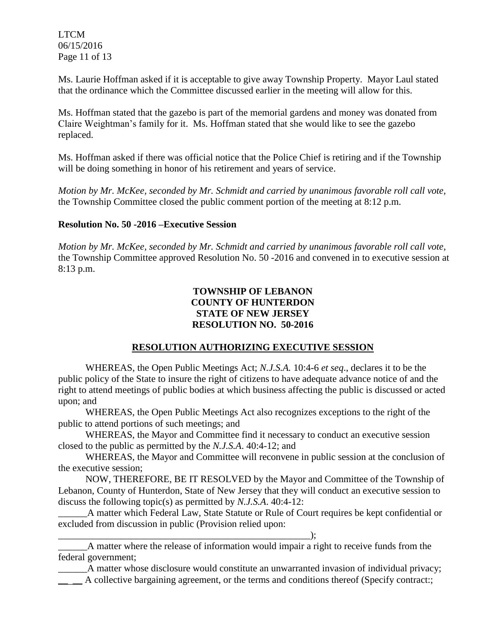LTCM 06/15/2016 Page 11 of 13

Ms. Laurie Hoffman asked if it is acceptable to give away Township Property. Mayor Laul stated that the ordinance which the Committee discussed earlier in the meeting will allow for this.

Ms. Hoffman stated that the gazebo is part of the memorial gardens and money was donated from Claire Weightman's family for it. Ms. Hoffman stated that she would like to see the gazebo replaced.

Ms. Hoffman asked if there was official notice that the Police Chief is retiring and if the Township will be doing something in honor of his retirement and years of service.

*Motion by Mr. McKee, seconded by Mr. Schmidt and carried by unanimous favorable roll call vote,* the Township Committee closed the public comment portion of the meeting at 8:12 p.m.

### **Resolution No. 50 -2016 –Executive Session**

*Motion by Mr. McKee, seconded by Mr. Schmidt and carried by unanimous favorable roll call vote,* the Township Committee approved Resolution No. 50 -2016 and convened in to executive session at 8:13 p.m.

### **TOWNSHIP OF LEBANON COUNTY OF HUNTERDON STATE OF NEW JERSEY RESOLUTION NO. 50-2016**

# **RESOLUTION AUTHORIZING EXECUTIVE SESSION**

WHEREAS, the Open Public Meetings Act; *N.J.S.A.* 10:4-6 *et seq*., declares it to be the public policy of the State to insure the right of citizens to have adequate advance notice of and the right to attend meetings of public bodies at which business affecting the public is discussed or acted upon; and

WHEREAS, the Open Public Meetings Act also recognizes exceptions to the right of the public to attend portions of such meetings; and

WHEREAS, the Mayor and Committee find it necessary to conduct an executive session closed to the public as permitted by the *N.J.S.A*. 40:4-12; and

WHEREAS, the Mayor and Committee will reconvene in public session at the conclusion of the executive session;

NOW, THEREFORE, BE IT RESOLVED by the Mayor and Committee of the Township of Lebanon, County of Hunterdon, State of New Jersey that they will conduct an executive session to discuss the following topic(s) as permitted by *N.J.S.A*. 40:4-12:

\_\_\_\_\_\_A matter which Federal Law, State Statute or Rule of Court requires be kept confidential or excluded from discussion in public (Provision relied upon:

\_\_\_\_\_\_\_\_\_\_\_\_\_\_\_\_\_\_\_\_\_\_\_\_\_\_\_\_\_\_\_\_\_\_\_\_\_\_\_\_\_\_\_\_\_\_\_\_\_\_\_\_); \_\_\_\_\_\_A matter where the release of information would impair a right to receive funds from the federal government;

\_\_\_\_\_\_A matter whose disclosure would constitute an unwarranted invasion of individual privacy;  $\Box$   $\Box$  A collective bargaining agreement, or the terms and conditions thereof (Specify contract:;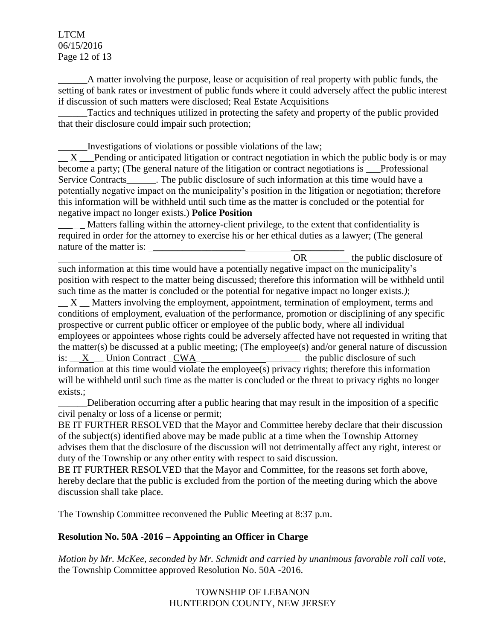LTCM 06/15/2016 Page 12 of 13

\_\_\_\_\_\_A matter involving the purpose, lease or acquisition of real property with public funds, the setting of bank rates or investment of public funds where it could adversely affect the public interest if discussion of such matters were disclosed; Real Estate Acquisitions

Tactics and techniques utilized in protecting the safety and property of the public provided that their disclosure could impair such protection;

\_\_\_\_\_\_Investigations of violations or possible violations of the law;

X Pending or anticipated litigation or contract negotiation in which the public body is or may become a party; (The general nature of the litigation or contract negotiations is \_\_\_Professional Service Contracts Fig. 2. The public disclosure of such information at this time would have a potentially negative impact on the municipality's position in the litigation or negotiation; therefore this information will be withheld until such time as the matter is concluded or the potential for negative impact no longer exists.) **Police Position**

\_\_\_ \_ Matters falling within the attorney-client privilege, to the extent that confidentiality is required in order for the attorney to exercise his or her ethical duties as a lawyer; (The general nature of the matter is:

OR the public disclosure of such information at this time would have a potentially negative impact on the municipality's position with respect to the matter being discussed; therefore this information will be withheld until such time as the matter is concluded or the potential for negative impact no longer exists.*)*;

 $X$   $\blacksquare$  Matters involving the employment, appointment, termination of employment, terms and conditions of employment, evaluation of the performance, promotion or disciplining of any specific prospective or current public officer or employee of the public body, where all individual employees or appointees whose rights could be adversely affected have not requested in writing that the matter(s) be discussed at a public meeting; (The employee(s) and/or general nature of discussion is:  $\underline{X}$  Union Contract  $\underline{CWA}$  the public disclosure of such information at this time would violate the employee(s) privacy rights; therefore this information will be withheld until such time as the matter is concluded or the threat to privacy rights no longer exists.;

\_\_\_\_\_\_Deliberation occurring after a public hearing that may result in the imposition of a specific civil penalty or loss of a license or permit;

BE IT FURTHER RESOLVED that the Mayor and Committee hereby declare that their discussion of the subject(s) identified above may be made public at a time when the Township Attorney advises them that the disclosure of the discussion will not detrimentally affect any right, interest or duty of the Township or any other entity with respect to said discussion.

BE IT FURTHER RESOLVED that the Mayor and Committee, for the reasons set forth above, hereby declare that the public is excluded from the portion of the meeting during which the above discussion shall take place.

The Township Committee reconvened the Public Meeting at 8:37 p.m.

# **Resolution No. 50A -2016 – Appointing an Officer in Charge**

*Motion by Mr. McKee, seconded by Mr. Schmidt and carried by unanimous favorable roll call vote,* the Township Committee approved Resolution No. 50A -2016.

> TOWNSHIP OF LEBANON HUNTERDON COUNTY, NEW JERSEY